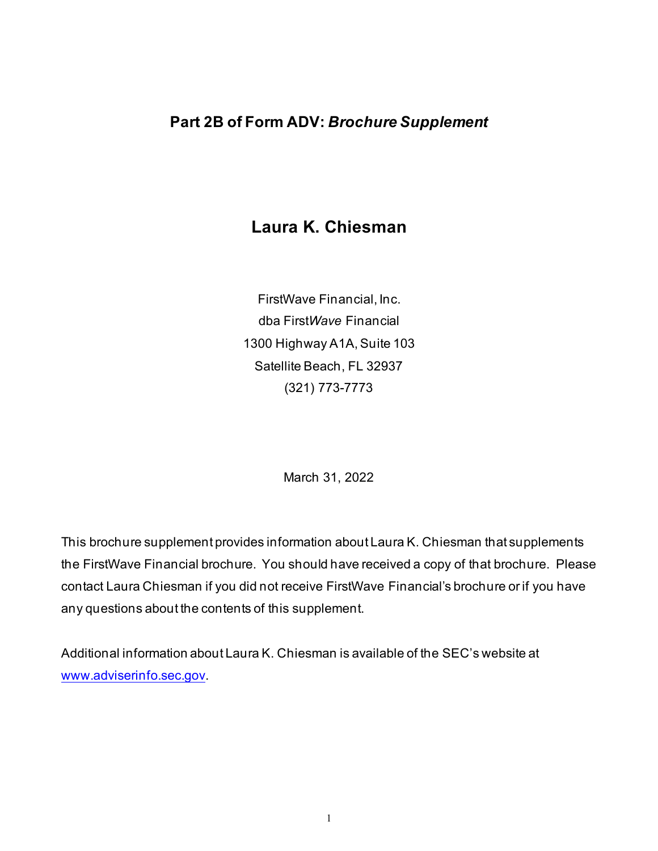# **Laura K. Chiesman**

FirstWave Financial, Inc. dba First*Wave* Financial 1300 Highway A1A, Suite 103 Satellite Beach, FL 32937 (321) 773-7773

March 31, 2022

This brochure supplement provides information about Laura K. Chiesman that supplements the FirstWave Financial brochure. You should have received a copy of that brochure. Please contact Laura Chiesman if you did not receive FirstWave Financial's brochure or if you have any questions about the contents of this supplement.

Additional information about Laura K. Chiesman is available of the SEC's website at [www.adviserinfo.sec.gov](http://www.adviserinfo.sec.gov/).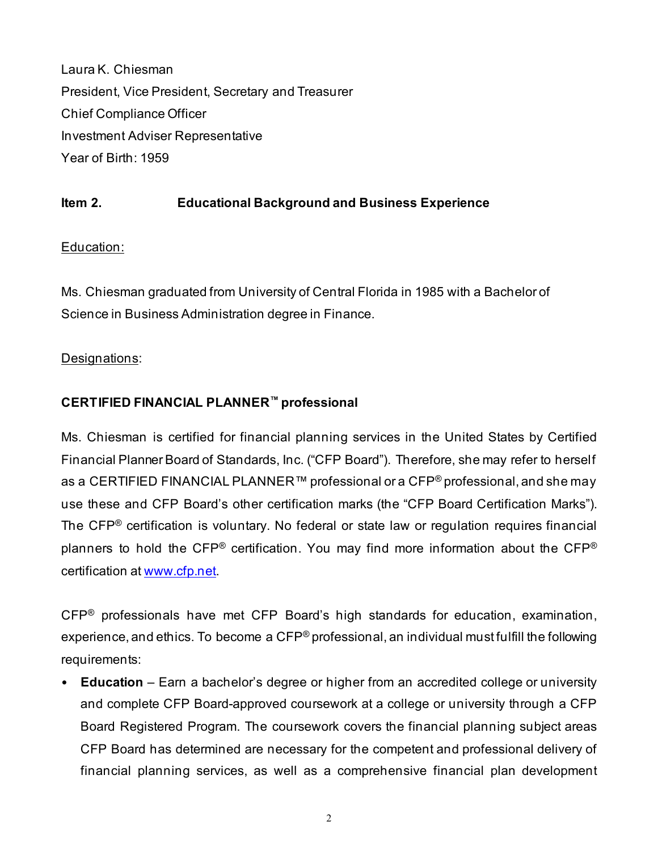Laura K. Chiesman President, Vice President, Secretary and Treasurer Chief Compliance Officer Investment Adviser Representative Year of Birth: 1959

## **Item 2. Educational Background and Business Experience**

#### Education:

Ms. Chiesman graduated from University of Central Florida in 1985 with a Bachelor of Science in Business Administration degree in Finance.

#### Designations:

## **CERTIFIED FINANCIAL PLANNER™ professional**

Ms. Chiesman is certified for financial planning services in the United States by Certified Financial Planner Board of Standards, Inc. ("CFP Board"). Therefore, she may refer to herself as a CERTIFIED FINANCIAL PLANNER™ professional or a CFP® professional, and she may use these and CFP Board's other certification marks (the "CFP Board Certification Marks"). The CFP® certification is voluntary. No federal or state law or regulation requires financial planners to hold the CFP® certification. You may find more information about the CFP® certification at [www.cfp.net.](https://protect-us.mimecast.com/s/1HBOCqxoRqf1V6k3tXIH3k?domain=nam04.safelinks.protection.outlook.com)

CFP® professionals have met CFP Board's high standards for education, examination, experience, and ethics. To become a  $\text{CFP}^{\circledast}$  professional, an individual must fulfill the following requirements:

• **Education** – Earn a bachelor's degree or higher from an accredited college or university and complete CFP Board-approved coursework at a college or university through a CFP Board Registered Program. The coursework covers the financial planning subject areas CFP Board has determined are necessary for the competent and professional delivery of financial planning services, as well as a comprehensive financial plan development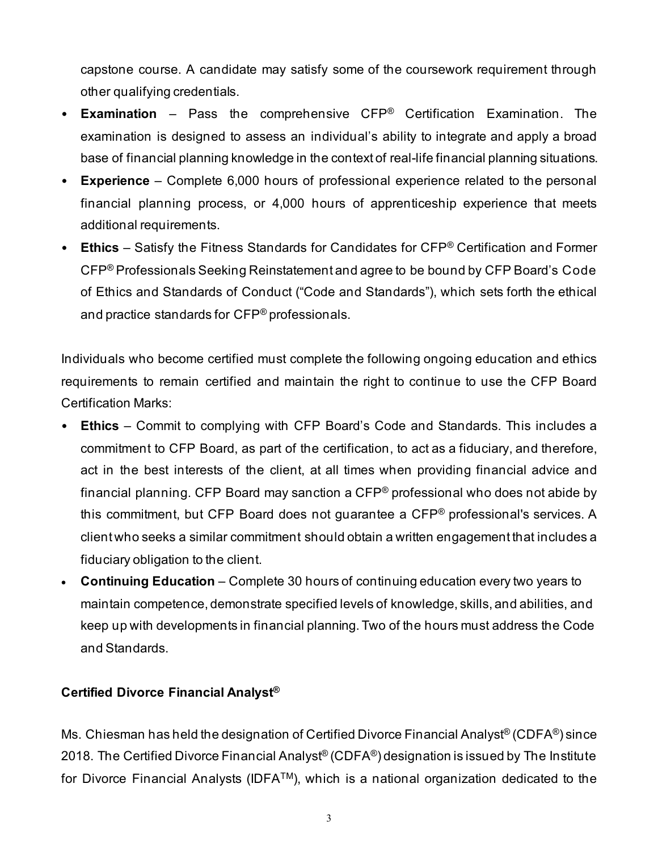capstone course. A candidate may satisfy some of the coursework requirement through other qualifying credentials.

- **Examination** Pass the comprehensive CFP® Certification Examination. The examination is designed to assess an individual's ability to integrate and apply a broad base of financial planning knowledge in the context of real-life financial planning situations.
- **Experience**  Complete 6,000 hours of professional experience related to the personal financial planning process, or 4,000 hours of apprenticeship experience that meets additional requirements.
- **Ethics** Satisfy the Fitness Standards for Candidates for CFP® Certification and Former CFP® Professionals Seeking Reinstatement and agree to be bound by CFP Board's Code of Ethics and Standards of Conduct ("Code and Standards"), which sets forth the ethical and practice standards for CFP® professionals.

Individuals who become certified must complete the following ongoing education and ethics requirements to remain certified and maintain the right to continue to use the CFP Board Certification Marks:

- **Ethics** Commit to complying with CFP Board's Code and Standards. This includes a commitment to CFP Board, as part of the certification, to act as a fiduciary, and therefore, act in the best interests of the client, at all times when providing financial advice and financial planning. CFP Board may sanction a CFP® professional who does not abide by this commitment, but CFP Board does not guarantee a CFP® professional's services. A client who seeks a similar commitment should obtain a written engagement that includes a fiduciary obligation to the client.
- **Continuing Education** Complete 30 hours of continuing education every two years to maintain competence, demonstrate specified levels of knowledge, skills, and abilities, and keep up with developments in financial planning. Two of the hours must address the Code and Standards.

#### **Certified Divorce Financial Analyst®**

Ms. Chiesman has held the designation of Certified Divorce Financial Analyst® (CDFA®) since 2018. The Certified Divorce Financial Analyst® (CDFA®) designation is issued by The Institute for Divorce Financial Analysts (IDFATM), which is a national organization dedicated to the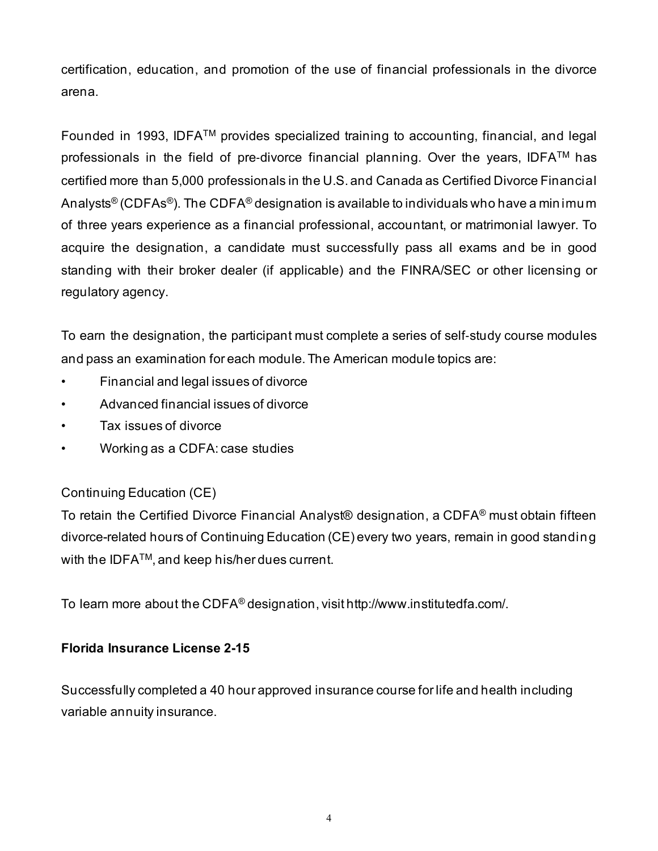certification, education, and promotion of the use of financial professionals in the divorce arena.

Founded in 1993, IDFA™ provides specialized training to accounting, financial, and legal professionals in the field of pre-divorce financial planning. Over the years, IDFA™ has certified more than 5,000 professionals in the U.S. and Canada as Certified Divorce Financial Analysts® (CDFAs®). The CDFA® designation is available to individuals who have a minimum of three years experience as a financial professional, accountant, or matrimonial lawyer. To acquire the designation, a candidate must successfully pass all exams and be in good standing with their broker dealer (if applicable) and the FINRA/SEC or other licensing or regulatory agency.

To earn the designation, the participant must complete a series of self‐study course modules and pass an examination for each module. The American module topics are:

- Financial and legal issues of divorce
- Advanced financial issues of divorce
- Tax issues of divorce
- Working as a CDFA: case studies

# Continuing Education (CE)

To retain the Certified Divorce Financial Analyst® designation, a CDFA<sup>®</sup> must obtain fifteen divorce-related hours of Continuing Education (CE) every two years, remain in good standing with the IDFA™, and keep his/her dues current.

To learn more about the CDFA® designation, visit http://www.institutedfa.com/.

#### **Florida Insurance License 2-15**

Successfully completed a 40 hour approved insurance course for life and health including variable annuity insurance.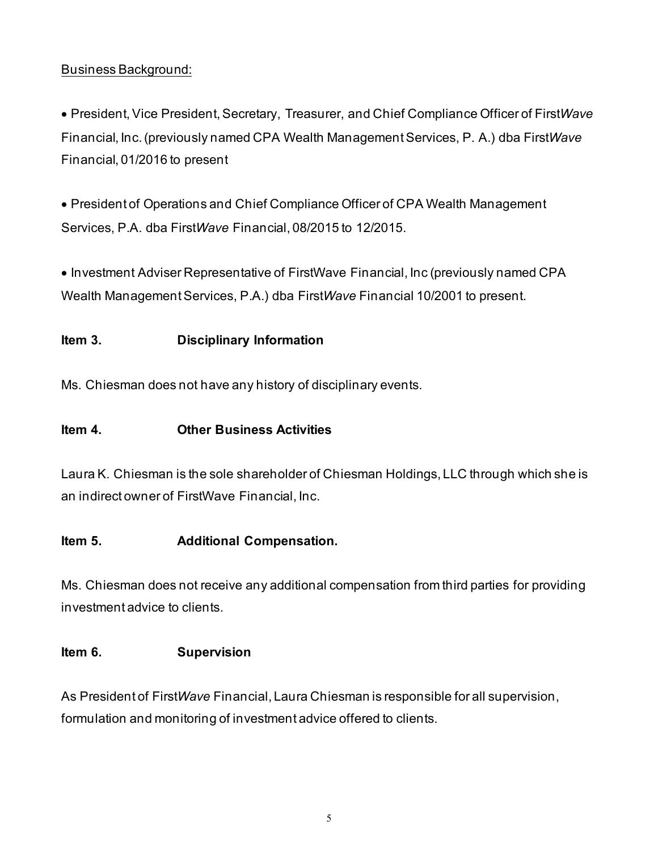#### Business Background:

• President, Vice President, Secretary, Treasurer, and Chief Compliance Officer of First*Wave*  Financial, Inc. (previously named CPA Wealth Management Services, P. A.) dba First*Wave* Financial, 01/2016 to present

• President of Operations and Chief Compliance Officer of CPA Wealth Management Services, P.A. dba First*Wave* Financial, 08/2015 to 12/2015.

• Investment Adviser Representative of FirstWave Financial, Inc (previously named CPA Wealth Management Services, P.A.) dba First*Wave* Financial 10/2001 to present.

#### **Item 3. Disciplinary Information**

Ms. Chiesman does not have any history of disciplinary events.

#### **Item 4. Other Business Activities**

Laura K. Chiesman is the sole shareholder of Chiesman Holdings, LLC through which she is an indirect owner of FirstWave Financial, Inc.

#### **Item 5. Additional Compensation.**

Ms. Chiesman does not receive any additional compensation from third parties for providing investment advice to clients.

#### **Item 6. Supervision**

As President of First*Wave* Financial, Laura Chiesman is responsible for all supervision, formulation and monitoring of investment advice offered to clients.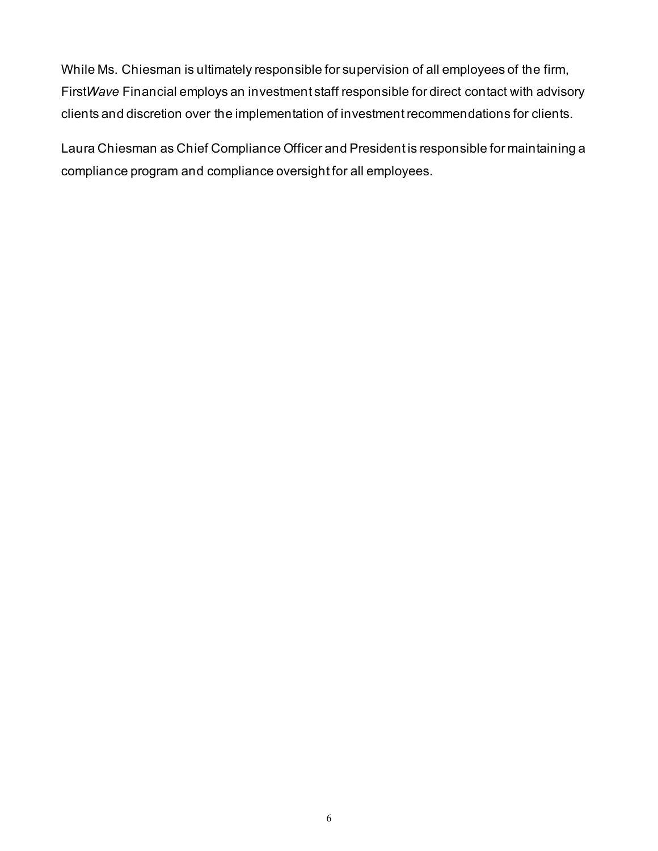While Ms. Chiesman is ultimately responsible for supervision of all employees of the firm, First*Wave* Financial employs an investment staff responsible for direct contact with advisory clients and discretion over the implementation of investment recommendations for clients.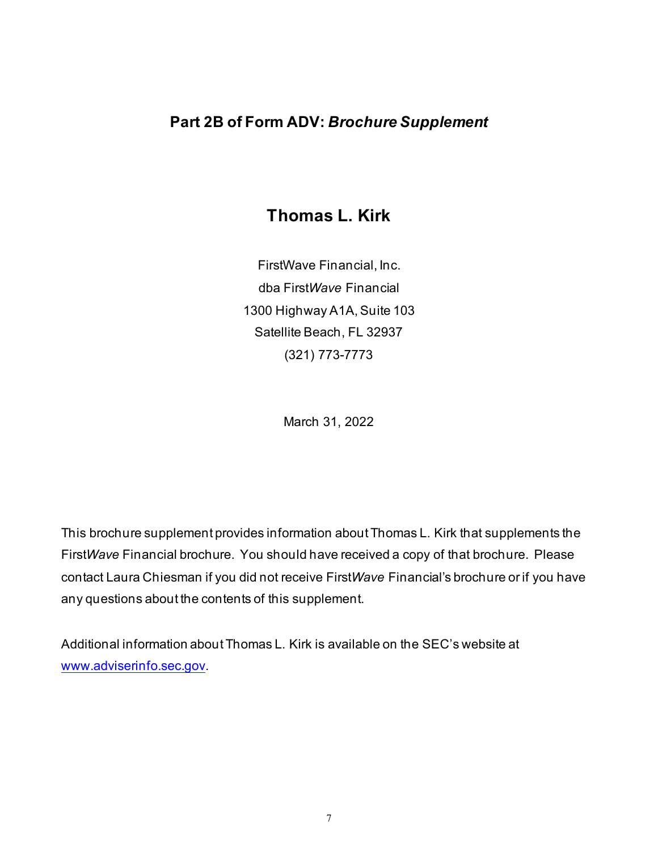# **Thomas L. Kirk**

FirstWave Financial, Inc. dba First*Wave* Financial 1300 Highway A1A, Suite 103 Satellite Beach, FL 32937 (321) 773-7773

March 31, 2022

This brochure supplement provides information about Thomas L. Kirk that supplements the First*Wave* Financial brochure. You should have received a copy of that brochure. Please contact Laura Chiesman if you did not receive First*Wave* Financial's brochure or if you have any questions about the contents of this supplement.

Additional information about Thomas L. Kirk is available on the SEC's website at [www.adviserinfo.sec.gov](http://www.adviserinfo.sec.gov/).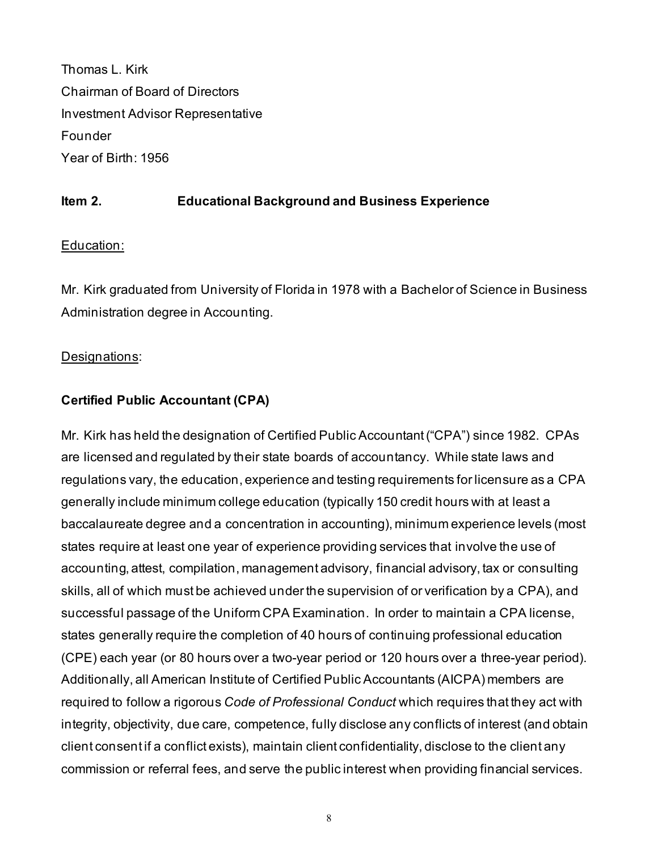Thomas L. Kirk Chairman of Board of Directors Investment Advisor Representative Founder Year of Birth: 1956

#### **Item 2. Educational Background and Business Experience**

#### Education:

Mr. Kirk graduated from University of Florida in 1978 with a Bachelor of Science in Business Administration degree in Accounting.

#### Designations:

#### **Certified Public Accountant (CPA)**

Mr. Kirk has held the designation of Certified Public Accountant ("CPA") since 1982. CPAs are licensed and regulated by their state boards of accountancy. While state laws and regulations vary, the education, experience and testing requirements for licensure as a CPA generally include minimum college education (typically 150 credit hours with at least a baccalaureate degree and a concentration in accounting), minimum experience levels (most states require at least one year of experience providing services that involve the use of accounting, attest, compilation, management advisory, financial advisory, tax or consulting skills, all of which must be achieved under the supervision of or verification by a CPA), and successful passage of the Uniform CPA Examination. In order to maintain a CPA license, states generally require the completion of 40 hours of continuing professional education (CPE) each year (or 80 hours over a two-year period or 120 hours over a three-year period). Additionally, all American Institute of Certified Public Accountants (AICPA) members are required to follow a rigorous *Code of Professional Conduct* which requires that they act with integrity, objectivity, due care, competence, fully disclose any conflicts of interest (and obtain client consent if a conflict exists), maintain client confidentiality, disclose to the client any commission or referral fees, and serve the public interest when providing financial services.

8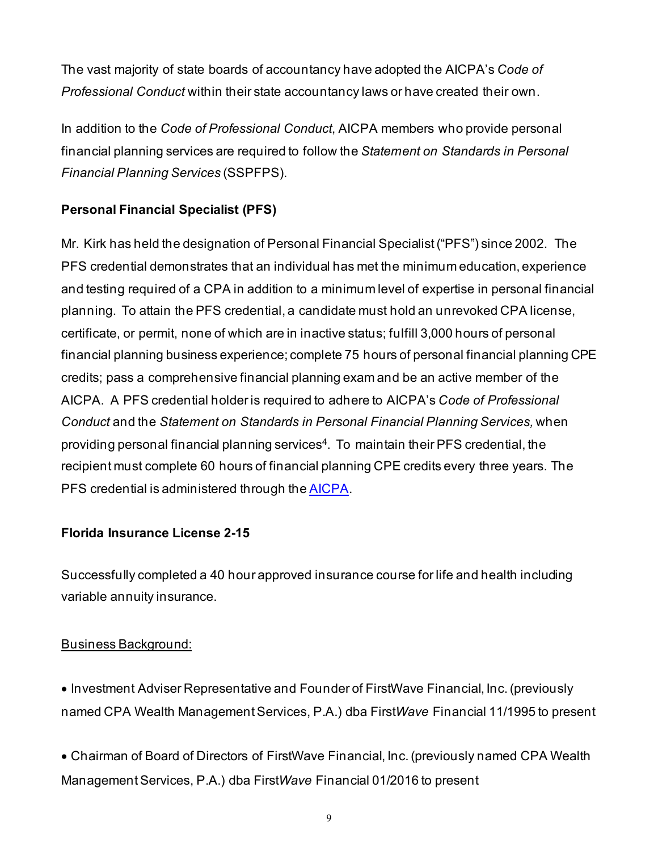The vast majority of state boards of accountancy have adopted the AICPA's *Code of Professional Conduct* within their state accountancy laws or have created their own.

In addition to the *Code of Professional Conduct*, AICPA members who provide personal financial planning services are required to follow the *Statement on Standards in Personal Financial Planning Services* (SSPFPS).

## **Personal Financial Specialist (PFS)**

Mr. Kirk has held the designation of Personal Financial Specialist ("PFS") since 2002. The PFS credential demonstrates that an individual has met the minimum education, experience and testing required of a CPA in addition to a minimum level of expertise in personal financial planning. To attain the PFS credential, a candidate must hold an unrevoked CPA license, certificate, or permit, none of which are in inactive status; fulfill 3,000 hours of personal financial planning business experience; complete 75 hours of personal financial planning CPE credits; pass a comprehensive financial planning exam and be an active member of the AICPA. A PFS credential holder is required to adhere to AICPA's *Code of Professional Conduct* and the *Statement on Standards in Personal Financial Planning Services,* when providing personal financial planning services<sup>4</sup>. To maintain their PFS credential, the recipient must complete 60 hours of financial planning CPE credits every three years. The PFS credential is administered through th[e AICPA.](http://www.aicpa.org/)

#### **Florida Insurance License 2-15**

Successfully completed a 40 hour approved insurance course for life and health including variable annuity insurance.

#### Business Background:

• Investment Adviser Representative and Founder of FirstWave Financial, Inc. (previously named CPA Wealth Management Services, P.A.) dba First*Wave* Financial 11/1995 to present

• Chairman of Board of Directors of FirstWave Financial, Inc. (previously named CPA Wealth Management Services, P.A.) dba First*Wave* Financial 01/2016 to present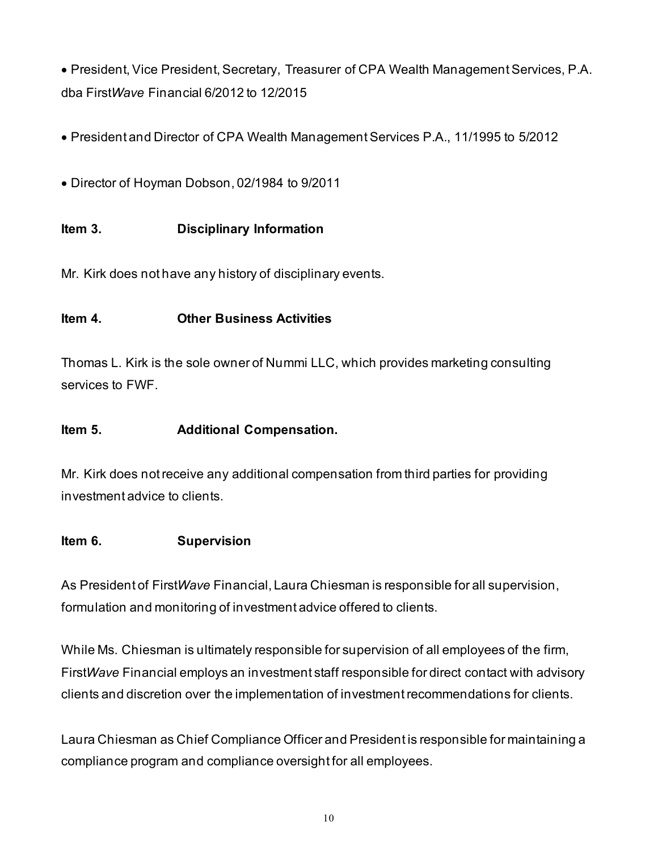• President, Vice President, Secretary, Treasurer of CPA Wealth Management Services, P.A. dba First*Wave* Financial 6/2012 to 12/2015

- President and Director of CPA Wealth Management Services P.A., 11/1995 to 5/2012
- Director of Hoyman Dobson, 02/1984 to 9/2011

## **Item 3. Disciplinary Information**

Mr. Kirk does not have any history of disciplinary events.

#### **Item 4. Other Business Activities**

Thomas L. Kirk is the sole owner of Nummi LLC, which provides marketing consulting services to FWF.

#### **Item 5. Additional Compensation.**

Mr. Kirk does not receive any additional compensation from third parties for providing investment advice to clients.

#### **Item 6. Supervision**

As President of First*Wave* Financial, Laura Chiesman is responsible for all supervision, formulation and monitoring of investment advice offered to clients.

While Ms. Chiesman is ultimately responsible for supervision of all employees of the firm, First*Wave* Financial employs an investment staff responsible for direct contact with advisory clients and discretion over the implementation of investment recommendations for clients.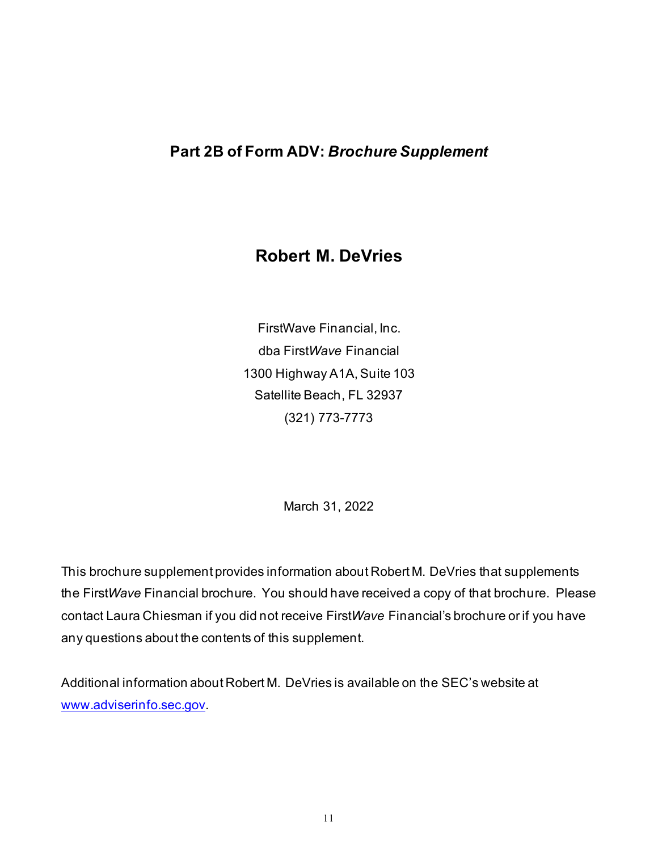# **Robert M. DeVries**

FirstWave Financial, Inc. dba First*Wave* Financial 1300 Highway A1A, Suite 103 Satellite Beach, FL 32937 (321) 773-7773

March 31, 2022

This brochure supplement provides information about Robert M. DeVries that supplements the First*Wave* Financial brochure. You should have received a copy of that brochure. Please contact Laura Chiesman if you did not receive First*Wave* Financial's brochure or if you have any questions about the contents of this supplement.

Additional information about Robert M. DeVries is available on the SEC's website at [www.adviserinfo.sec.gov](http://www.adviserinfo.sec.gov/).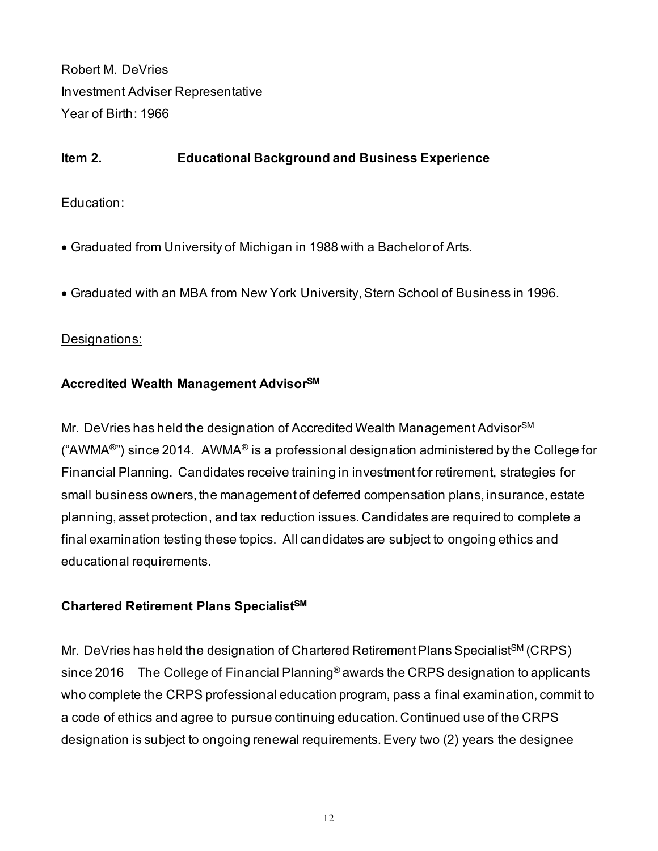Robert M. DeVries Investment Adviser Representative Year of Birth: 1966

#### **Item 2. Educational Background and Business Experience**

#### Education:

- Graduated from University of Michigan in 1988 with a Bachelor of Arts.
- Graduated with an MBA from New York University, Stern School of Business in 1996.

#### Designations:

#### **Accredited Wealth Management AdvisorSM**

Mr. DeVries has held the designation of Accredited Wealth Management Advisor<sup>SM</sup> ("AWMA $^{\circ}$ ") since 2014. AWMA $^{\circ}$  is a professional designation administered by the College for Financial Planning. Candidates receive training in investment for retirement, strategies for small business owners, the management of deferred compensation plans, insurance, estate planning, asset protection, and tax reduction issues. Candidates are required to complete a final examination testing these topics. All candidates are subject to ongoing ethics and educational requirements.

#### **Chartered Retirement Plans SpecialistSM**

Mr. DeVries has held the designation of Chartered Retirement Plans Specialist<sup>SM</sup> (CRPS) since 2016 The College of Financial Planning<sup>®</sup> awards the CRPS designation to applicants who complete the CRPS professional education program, pass a final examination, commit to a code of ethics and agree to pursue continuing education. Continued use of the CRPS designation is subject to ongoing renewal requirements. Every two (2) years the designee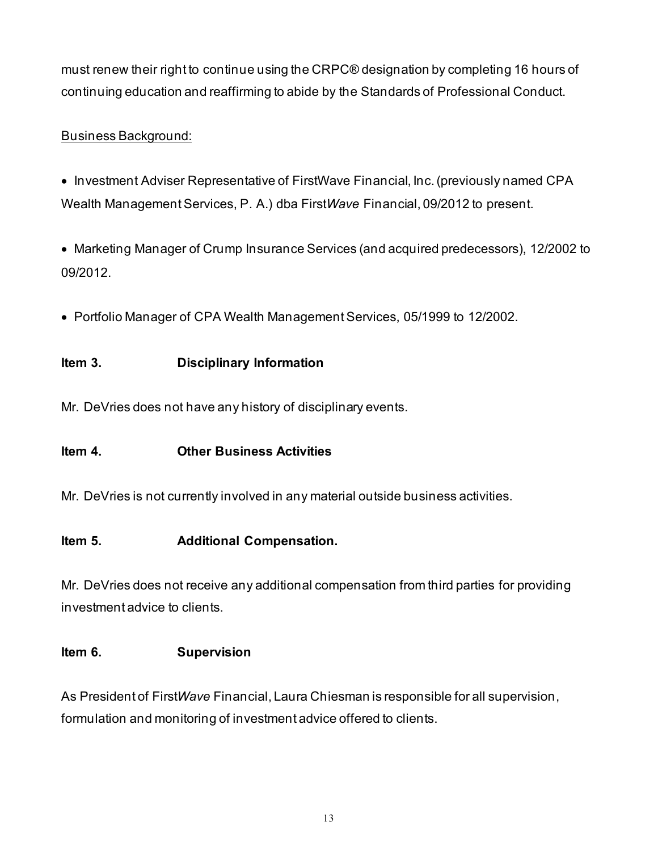must renew their right to continue using the CRPC® designation by completing 16 hours of continuing education and reaffirming to abide by the Standards of Professional Conduct.

# Business Background:

- Investment Adviser Representative of FirstWave Financial, Inc. (previously named CPA Wealth Management Services, P. A.) dba First*Wave* Financial, 09/2012 to present.
- Marketing Manager of Crump Insurance Services (and acquired predecessors), 12/2002 to 09/2012.
- Portfolio Manager of CPA Wealth Management Services, 05/1999 to 12/2002.

## **Item 3. Disciplinary Information**

Mr. DeVries does not have any history of disciplinary events.

#### **Item 4. Other Business Activities**

Mr. DeVries is not currently involved in any material outside business activities.

#### **Item 5. Additional Compensation.**

Mr. DeVries does not receive any additional compensation from third parties for providing investment advice to clients.

#### **Item 6. Supervision**

As President of First*Wave* Financial, Laura Chiesman is responsible for all supervision, formulation and monitoring of investment advice offered to clients.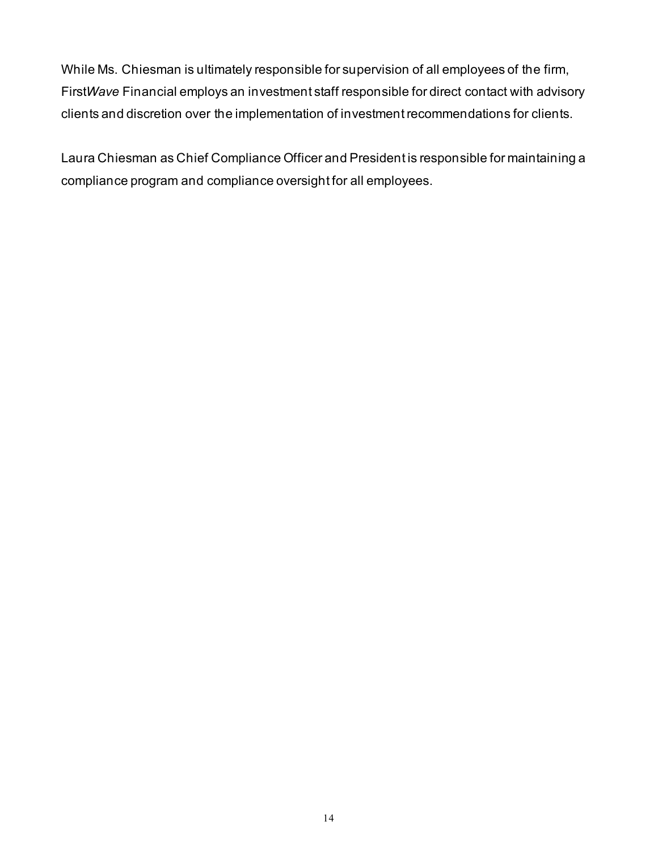While Ms. Chiesman is ultimately responsible for supervision of all employees of the firm, First*Wave* Financial employs an investment staff responsible for direct contact with advisory clients and discretion over the implementation of investment recommendations for clients.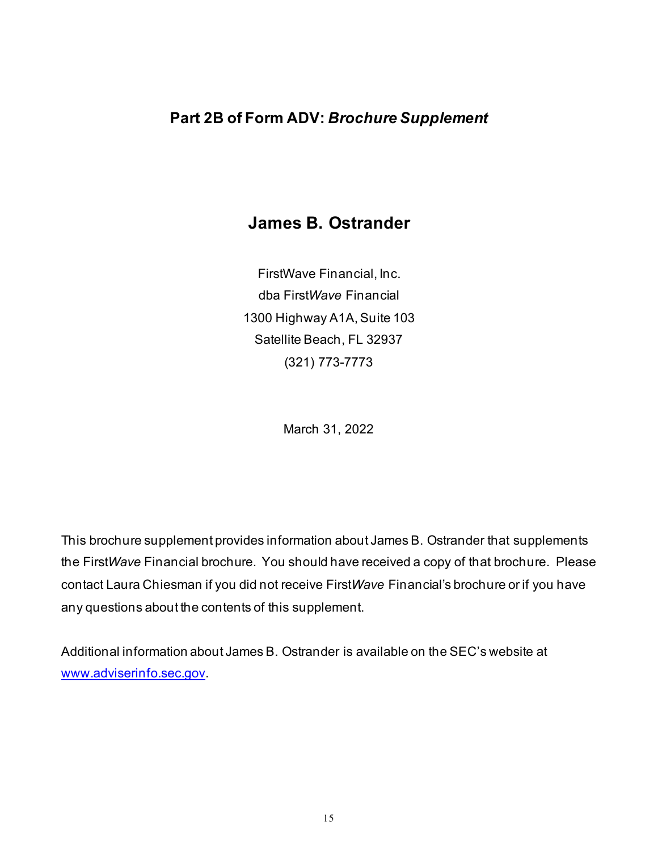# **James B. Ostrander**

FirstWave Financial, Inc. dba First*Wave* Financial 1300 Highway A1A, Suite 103 Satellite Beach, FL 32937 (321) 773-7773

March 31, 2022

This brochure supplement provides information about James B. Ostrander that supplements the First*Wave* Financial brochure. You should have received a copy of that brochure. Please contact Laura Chiesman if you did not receive First*Wave* Financial's brochure or if you have any questions about the contents of this supplement.

Additional information about James B. Ostrander is available on the SEC's website at [www.adviserinfo.sec.gov](http://www.adviserinfo.sec.gov/).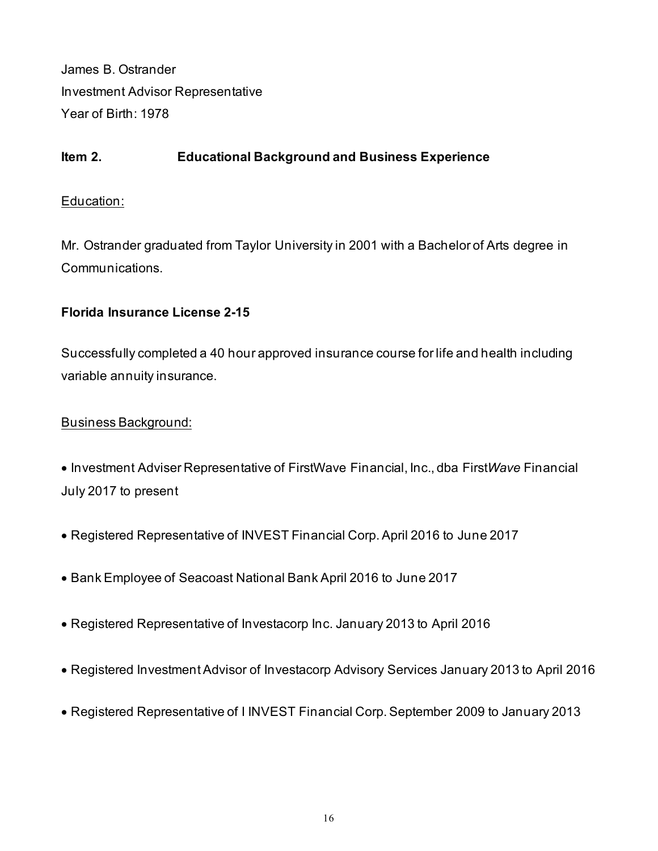James B. Ostrander Investment Advisor Representative Year of Birth: 1978

# **Item 2. Educational Background and Business Experience**

#### Education:

Mr. Ostrander graduated from Taylor University in 2001 with a Bachelor of Arts degree in Communications.

#### **Florida Insurance License 2-15**

Successfully completed a 40 hour approved insurance course for life and health including variable annuity insurance.

#### Business Background:

• Investment Adviser Representative of FirstWave Financial, Inc., dba First*Wave* Financial July 2017 to present

- Registered Representative of INVEST Financial Corp. April 2016 to June 2017
- Bank Employee of Seacoast National Bank April 2016 to June 2017
- Registered Representative of Investacorp Inc. January 2013 to April 2016
- Registered Investment Advisor of Investacorp Advisory Services January 2013 to April 2016
- Registered Representative of I INVEST Financial Corp. September 2009 to January 2013